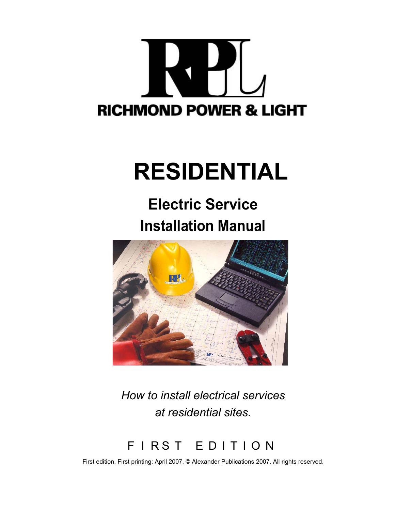# **RICHMOND POWER & LIGHT**

# **RESIDENTIAL**

# **Electric Service Installation Manual**



*How to install electrical services at residential sites.*

F I R S T E D I T I O N

First edition, First printing: April 2007, © Alexander Publications 2007. All rights reserved.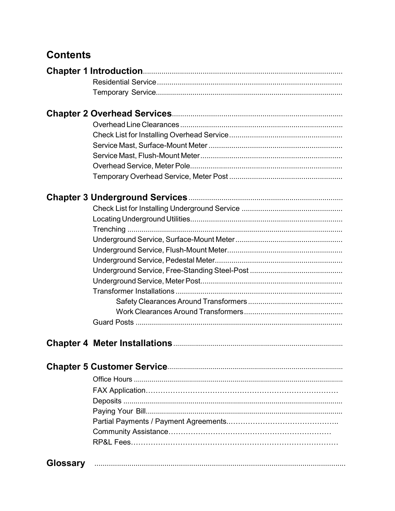# **Contents**

| <b>Glossary</b> |  |
|-----------------|--|
|                 |  |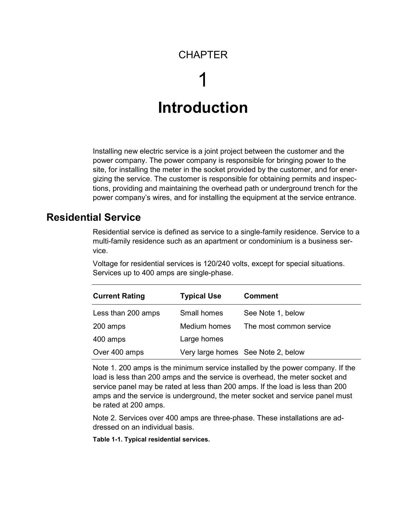## **CHAPTER**

# 1 **Introduction**

Installing new electric service is a joint project between the customer and the power company. The power company is responsible for bringing power to the site, for installing the meter in the socket provided by the customer, and for energizing the service. The customer is responsible for obtaining permits and inspections, providing and maintaining the overhead path or underground trench for the power company's wires, and for installing the equipment at the service entrance.

#### **Residential Service**

Residential service is defined as service to a single-family residence. Service to a multi-family residence such as an apartment or condominium is a business service.

Voltage for residential services is 120/240 volts, except for special situations. Services up to 400 amps are single-phase.

| <b>Current Rating</b> | <b>Typical Use</b> | <b>Comment</b>                     |
|-----------------------|--------------------|------------------------------------|
| Less than 200 amps    | Small homes        | See Note 1, below                  |
| 200 amps              | Medium homes       | The most common service            |
| 400 amps              | Large homes        |                                    |
| Over 400 amps         |                    | Very large homes See Note 2, below |

Note 1. 200 amps is the minimum service installed by the power company. If the load is less than 200 amps and the service is overhead, the meter socket and service panel may be rated at less than 200 amps. If the load is less than 200 amps and the service is underground, the meter socket and service panel must be rated at 200 amps.

Note 2. Services over 400 amps are three-phase. These installations are addressed on an individual basis.

**Table 1-1. Typical residential services.**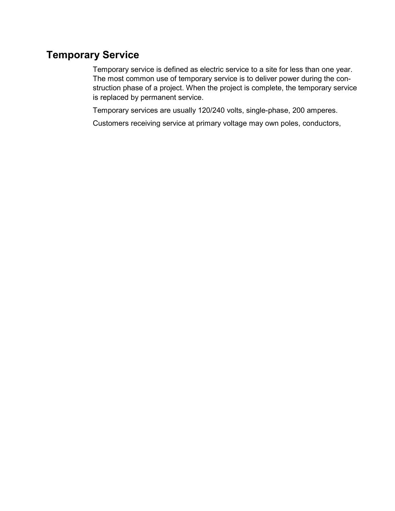# **Temporary Service**

Temporary service is defined as electric service to a site for less than one year. The most common use of temporary service is to deliver power during the construction phase of a project. When the project is complete, the temporary service is replaced by permanent service.

Temporary services are usually 120/240 volts, single-phase, 200 amperes.

Customers receiving service at primary voltage may own poles, conductors,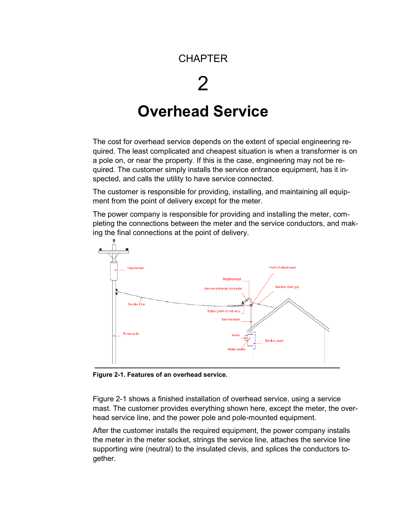## **CHAPTER**

# 2

# **Overhead Service**

The cost for overhead service depends on the extent of special engineering required. The least complicated and cheapest situation is when a transformer is on a pole on, or near the property. If this is the case, engineering may not be required. The customer simply installs the service entrance equipment, has it inspected, and calls the utility to have service connected.

The customer is responsible for providing, installing, and maintaining all equipment from the point of delivery except for the meter.

The power company is responsible for providing and installing the meter, completing the connections between the meter and the service conductors, and making the final connections at the point of delivery.



**Figure 2-1. Features of an overhead service.**

Figure 2-1 shows a finished installation of overhead service, using a service mast. The customer provides everything shown here, except the meter, the overhead service line, and the power pole and pole-mounted equipment.

After the customer installs the required equipment, the power company installs the meter in the meter socket, strings the service line, attaches the service line supporting wire (neutral) to the insulated clevis, and splices the conductors together.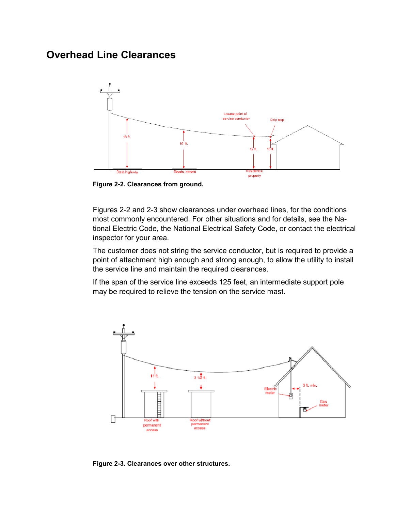#### **Overhead Line Clearances**



**Figure 2-2. Clearances from ground.**

Figures 2-2 and 2-3 show clearances under overhead lines, for the conditions most commonly encountered. For other situations and for details, see the National Electric Code, the National Electrical Safety Code, or contact the electrical inspector for your area.

The customer does not string the service conductor, but is required to provide a point of attachment high enough and strong enough, to allow the utility to install the service line and maintain the required clearances.

If the span of the service line exceeds 125 feet, an intermediate support pole may be required to relieve the tension on the service mast.



**Figure 2-3. Clearances over other structures.**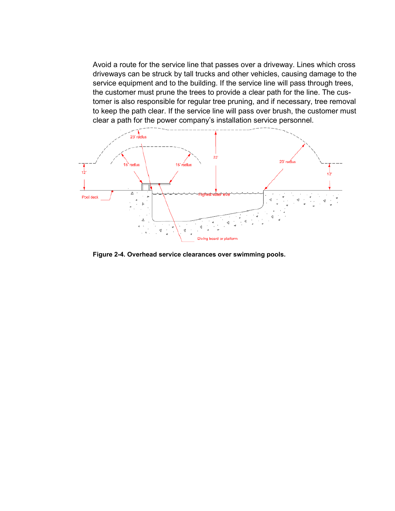Avoid a route for the service line that passes over a driveway. Lines which cross driveways can be struck by tall trucks and other vehicles, causing damage to the service equipment and to the building. If the service line will pass through trees, the customer must prune the trees to provide a clear path for the line. The customer is also responsible for regular tree pruning, and if necessary, tree removal to keep the path clear. If the service line will pass over brush, the customer must clear a path for the power company's installation service personnel.



**Figure 2-4. Overhead service clearances over swimming pools.**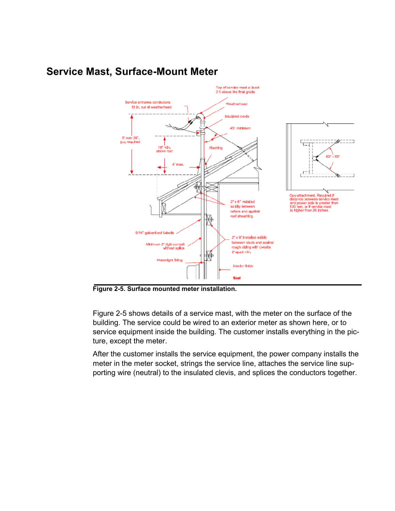

#### **Service Mast, Surface-Mount Meter**

**Figure 2-5. Surface mounted meter installation.**

Figure 2-5 shows details of a service mast, with the meter on the surface of the building. The service could be wired to an exterior meter as shown here, or to service equipment inside the building. The customer installs everything in the picture, except the meter.

After the customer installs the service equipment, the power company installs the meter in the meter socket, strings the service line, attaches the service line supporting wire (neutral) to the insulated clevis, and splices the conductors together.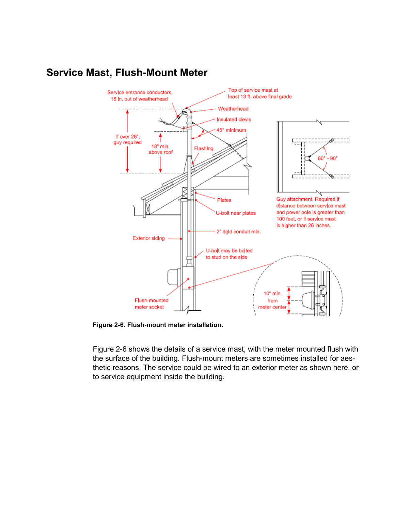

## **Service Mast, Flush-Mount Meter**

**Figure 2-6. Flush-mount meter installation.**

Figure 2-6 shows the details of a service mast, with the meter mounted flush with the surface of the building. Flush-mount meters are sometimes installed for aesthetic reasons. The service could be wired to an exterior meter as shown here, or to service equipment inside the building.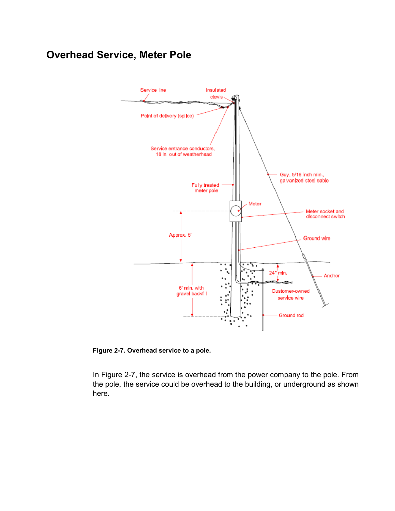# **Overhead Service, Meter Pole**



**Figure 2-7. Overhead service to a pole.**

In Figure 2-7, the service is overhead from the power company to the pole. From the pole, the service could be overhead to the building, or underground as shown here.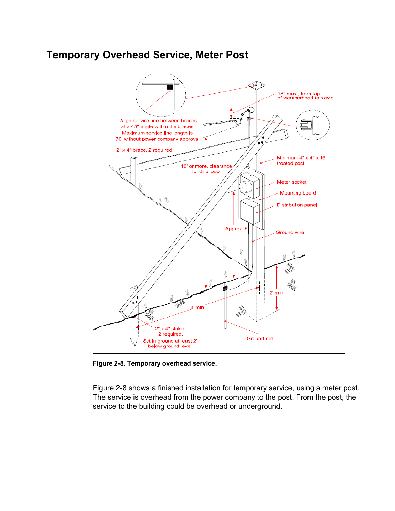## **Temporary Overhead Service, Meter Post**



**Figure 2-8. Temporary overhead service.**

Figure 2-8 shows a finished installation for temporary service, using a meter post. The service is overhead from the power company to the post. From the post, the service to the building could be overhead or underground.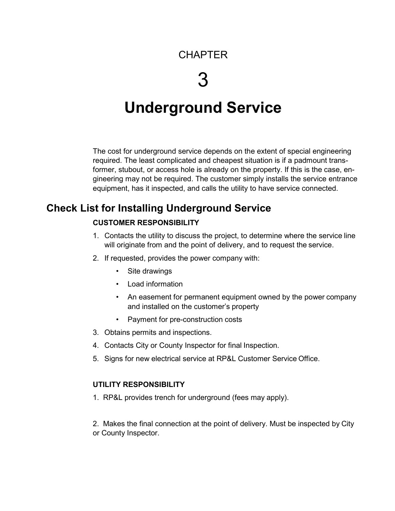# **CHAPTER**

# 3

# **Underground Service**

The cost for underground service depends on the extent of special engineering required. The least complicated and cheapest situation is if a padmount transformer, stubout, or access hole is already on the property. If this is the case, engineering may not be required. The customer simply installs the service entrance equipment, has it inspected, and calls the utility to have service connected.

## **Check List for Installing Underground Service**

#### **CUSTOMER RESPONSIBILITY**

- 1. Contacts the utility to discuss the project, to determine where the service line will originate from and the point of delivery, and to request the service.
- 2. If requested, provides the power company with:
	- Site drawings
	- Load information
	- An easement for permanent equipment owned by the power company and installed on the customer's property
	- Payment for pre-construction costs
- 3. Obtains permits and inspections.
- 4. Contacts City or County Inspector for final Inspection.
- 5. Signs for new electrical service at RP&L Customer Service Office.

#### **UTILITY RESPONSIBILITY**

1. RP&L provides trench for underground (fees may apply).

2. Makes the final connection at the point of delivery. Must be inspected by City or County Inspector.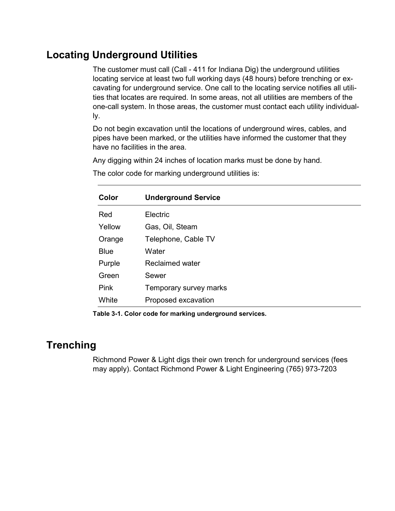## **Locating Underground Utilities**

The customer must call (Call - 411 for Indiana Dig) the underground utilities locating service at least two full working days (48 hours) before trenching or excavating for underground service. One call to the locating service notifies all utilities that locates are required. In some areas, not all utilities are members of the one-call system. In those areas, the customer must contact each utility individually.

Do not begin excavation until the locations of underground wires, cables, and pipes have been marked, or the utilities have informed the customer that they have no facilities in the area.

Any digging within 24 inches of location marks must be done by hand.

The color code for marking underground utilities is:

| Color       | <b>Underground Service</b> |
|-------------|----------------------------|
| Red         | Electric                   |
| Yellow      | Gas, Oil, Steam            |
| Orange      | Telephone, Cable TV        |
| <b>Blue</b> | Water                      |
| Purple      | Reclaimed water            |
| Green       | Sewer                      |
| <b>Pink</b> | Temporary survey marks     |
| White       | Proposed excavation        |

**Table 3-1. Color code for marking underground services.**

#### **Trenching**

Richmond Power & Light digs their own trench for underground services (fees may apply). Contact Richmond Power & Light Engineering (765) 973-7203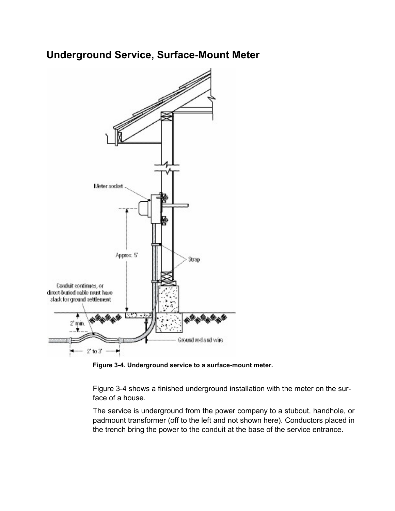## **Underground Service, Surface-Mount Meter**



**Figure 3-4. Underground service to a surface-mount meter.**

Figure 3-4 shows a finished underground installation with the meter on the surface of a house.

The service is underground from the power company to a stubout, handhole, or padmount transformer (off to the left and not shown here). Conductors placed in the trench bring the power to the conduit at the base of the service entrance.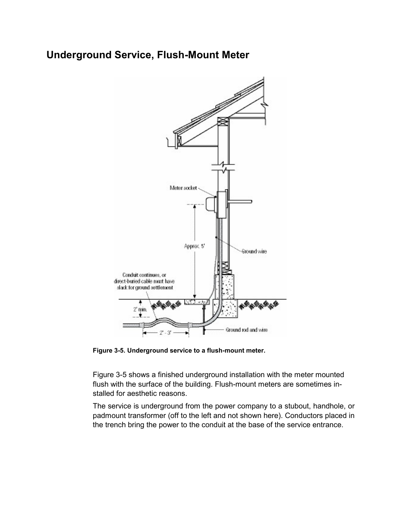## **Underground Service, Flush-Mount Meter**



**Figure 3-5. Underground service to a flush-mount meter.**

Figure 3-5 shows a finished underground installation with the meter mounted flush with the surface of the building. Flush-mount meters are sometimes installed for aesthetic reasons.

The service is underground from the power company to a stubout, handhole, or padmount transformer (off to the left and not shown here). Conductors placed in the trench bring the power to the conduit at the base of the service entrance.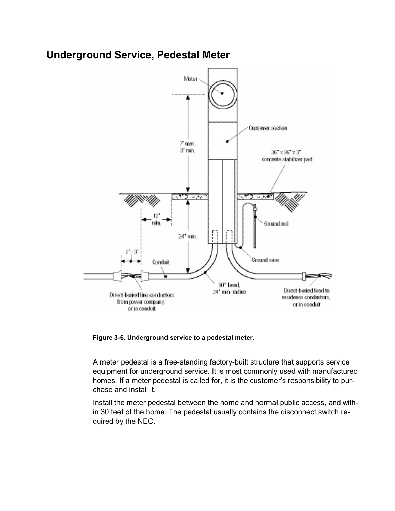#### **Underground Service, Pedestal Meter**



**Figure 3-6. Underground service to a pedestal meter.**

A meter pedestal is a free-standing factory-built structure that supports service equipment for underground service. It is most commonly used with manufactured homes. If a meter pedestal is called for, it is the customer's responsibility to purchase and install it.

Install the meter pedestal between the home and normal public access, and within 30 feet of the home. The pedestal usually contains the disconnect switch required by the NEC.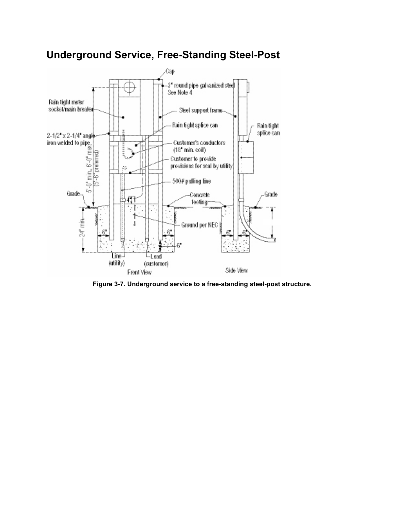

# **Underground Service, Free-Standing Steel-Post**

**Figure 3-7. Underground service to a free-standing steel-post structure.**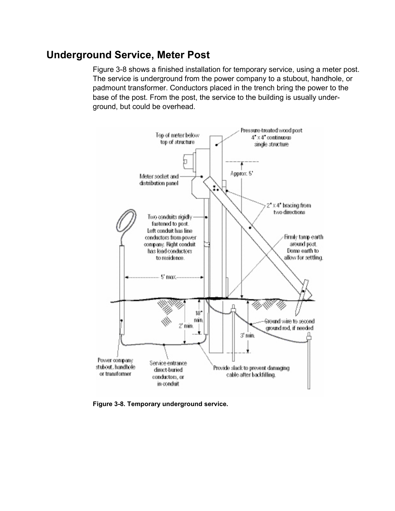#### **Underground Service, Meter Post**

Figure 3-8 shows a finished installation for temporary service, using a meter post. The service is underground from the power company to a stubout, handhole, or padmount transformer. Conductors placed in the trench bring the power to the base of the post. From the post, the service to the building is usually underground, but could be overhead.



**Figure 3-8. Temporary underground service.**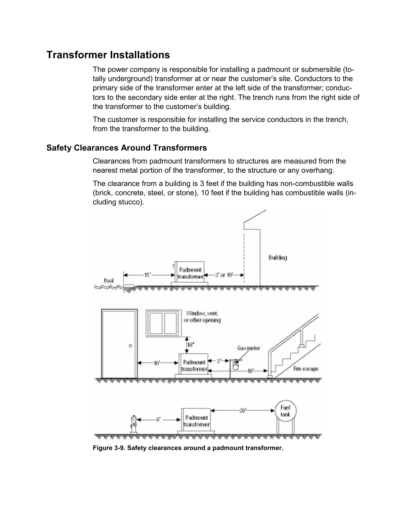#### **Transformer Installations**

The power company is responsible for installing a padmount or submersible (totally underground) transformer at or near the customer's site. Conductors to the primary side of the transformer enter at the left side of the transformer; conductors to the secondary side enter at the right. The trench runs from the right side of the transformer to the customer's building.

The customer is responsible for installing the service conductors in the trench, from the transformer to the building.

#### **Safety Clearances Around Transformers**

Clearances from padmount transformers to structures are measured from the nearest metal portion of the transformer, to the structure or any overhang.

The clearance from a building is 3 feet if the building has non-combustible walls (brick, concrete, steel, or stone), 10 feet if the building has combustible walls (including stucco).



**Figure 3-9. Safety clearances around a padmount transformer.**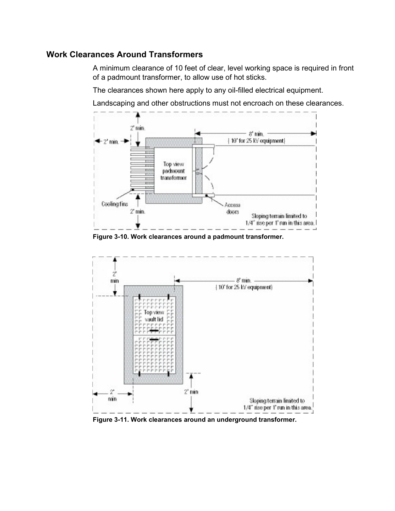#### **Work Clearances Around Transformers**

A minimum clearance of 10 feet of clear, level working space is required in front of a padmount transformer, to allow use of hot sticks.

The clearances shown here apply to any oil-filled electrical equipment.

Landscaping and other obstructions must not encroach on these clearances.



**Figure 3-10. Work clearances around a padmount transformer.**



**Figure 3-11. Work clearances around an underground transformer.**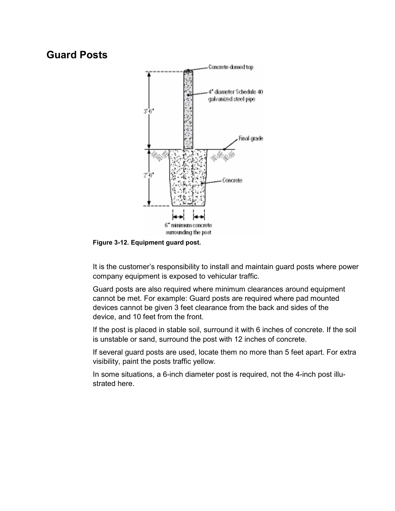#### **Guard Posts**



**Figure 3-12. Equipment guard post.**

It is the customer's responsibility to install and maintain guard posts where power company equipment is exposed to vehicular traffic.

Guard posts are also required where minimum clearances around equipment cannot be met. For example: Guard posts are required where pad mounted devices cannot be given 3 feet clearance from the back and sides of the device, and 10 feet from the front.

If the post is placed in stable soil, surround it with 6 inches of concrete. If the soil is unstable or sand, surround the post with 12 inches of concrete.

If several guard posts are used, locate them no more than 5 feet apart. For extra visibility, paint the posts traffic yellow.

In some situations, a 6-inch diameter post is required, not the 4-inch post illustrated here.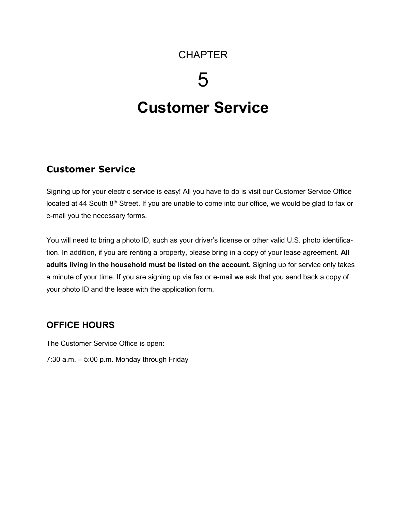## **CHAPTER**

# 5

# **Customer Service**

#### **Customer Service**

Signing up for your electric service is easy! All you have to do is visit our Customer Service Office located at 44 South 8<sup>th</sup> Street. If you are unable to come into our office, we would be glad to fax or e-mail you the necessary forms.

You will need to bring a photo ID, such as your driver's license or other valid U.S. photo identification. In addition, if you are renting a property, please bring in a copy of your lease agreement. **All adults living in the household must be listed on the account.** Signing up for service only takes a minute of your time. If you are signing up via fax or e-mail we ask that you send back a copy of your photo ID and the lease with the application form.

#### **OFFICE HOURS**

The Customer Service Office is open:

7:30 a.m. – 5:00 p.m. Monday through Friday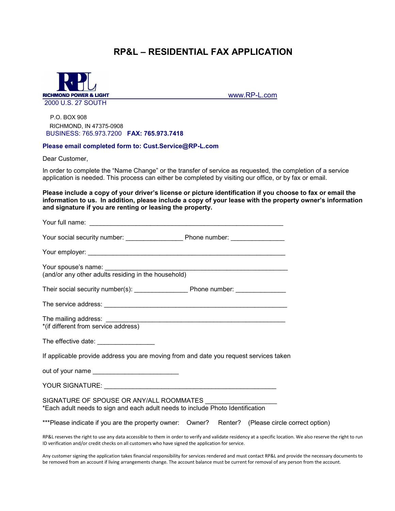#### **RP&L – RESIDENTIAL FAX APPLICATION**



[www.RP-L.com](http://www.rp-l.com/)

P.O. BOX 908 RICHMOND, IN 47375-0908 BUSINESS: 765.973.7200 **FAX: 765.973.7418**

#### **Please email completed form to: Cust.Service@RP-L.com**

Dear Customer,

In order to complete the "Name Change" or the transfer of service as requested, the completion of a service application is needed. This process can either be completed by visiting our office, or by fax or email.

**Please include a copy of your driver's license or picture identification if you choose to fax or email the information to us. In addition, please include a copy of your lease with the property owner's information and signature if you are renting or leasing the property.** 

| The effective date: __________________                                                                                                                                                                                                                              |
|---------------------------------------------------------------------------------------------------------------------------------------------------------------------------------------------------------------------------------------------------------------------|
| If applicable provide address you are moving from and date you request services taken                                                                                                                                                                               |
| out of your name ___________________________                                                                                                                                                                                                                        |
|                                                                                                                                                                                                                                                                     |
| SIGNATURE OF SPOUSE OR ANY/ALL ROOMMATES<br>*Each adult needs to sign and each adult needs to include Photo Identification                                                                                                                                          |
| ***Please indicate if you are the property owner: Owner? Renter? (Please circle correct option)                                                                                                                                                                     |
| RP&L reserves the right to use any data accessible to them in order to verify and validate residency at a specific location. We also reserve the right to run<br>ID verification and/or credit checks on all customers who have signed the application for service. |

Any customer signing the application takes financial responsibility for services rendered and must contact RP&L and provide the necessary documents to be removed from an account if living arrangements change. The account balance must be current for removal of any person from the account.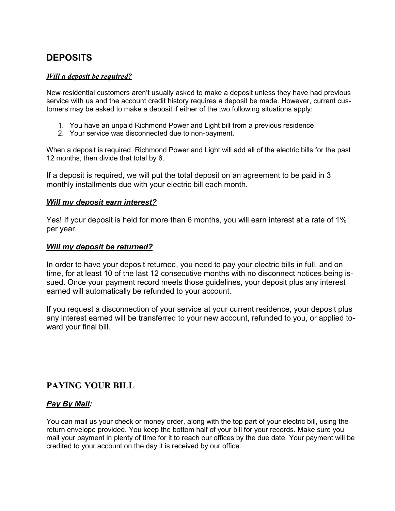#### **DEPOSITS**

#### *Will a deposit be required?*

New residential customers aren't usually asked to make a deposit unless they have had previous service with us and the account credit history requires a deposit be made. However, current customers may be asked to make a deposit if either of the two following situations apply:

- 1. You have an unpaid Richmond Power and Light bill from a previous residence.
- 2. Your service was disconnected due to non-payment.

When a deposit is required, Richmond Power and Light will add all of the electric bills for the past 12 months, then divide that total by 6.

If a deposit is required, we will put the total deposit on an agreement to be paid in 3 monthly installments due with your electric bill each month.

#### *Will my deposit earn interest?*

Yes! If your deposit is held for more than 6 months, you will earn interest at a rate of 1% per year.

#### *Will my deposit be returned?*

In order to have your deposit returned, you need to pay your electric bills in full, and on time, for at least 10 of the last 12 consecutive months with no disconnect notices being issued. Once your payment record meets those guidelines, your deposit plus any interest earned will automatically be refunded to your account.

If you request a disconnection of your service at your current residence, your deposit plus any interest earned will be transferred to your new account, refunded to you, or applied toward your final bill.

#### **PAYING YOUR BILL**

#### *Pay By Mail:*

You can mail us your check or money order, along with the top part of your electric bill, using the return envelope provided. You keep the bottom half of your bill for your records. Make sure you mail your payment in plenty of time for it to reach our offices by the due date. Your payment will be credited to your account on the day it is received by our office.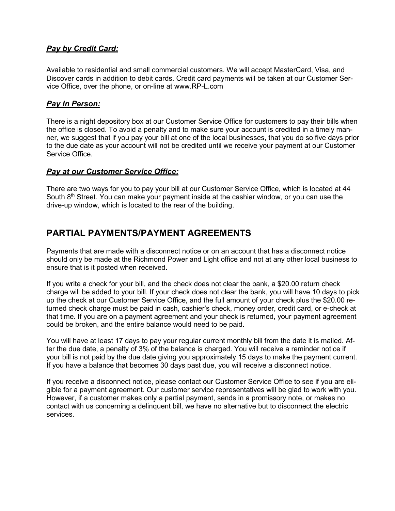#### *Pay by Credit Card:*

Available to residential and small commercial customers. We will accept MasterCard, Visa, and Discover cards in addition to debit cards. Credit card payments will be taken at our Customer Service Office, over the phone, or on-line at [www.RP-L.com](http://www.rp-l.com/)

#### *Pay In Person:*

There is a night depository box at our Customer Service Office for customers to pay their bills when the office is closed. To avoid a penalty and to make sure your account is credited in a timely manner, we suggest that if you pay your bill at one of the local businesses, that you do so five days prior to the due date as your account will not be credited until we receive your payment at our Customer Service Office.

#### *Pay at our Customer Service Office:*

There are two ways for you to pay your bill at our Customer Service Office, which is located at 44 South  $8<sup>th</sup>$  Street. You can make your payment inside at the cashier window, or you can use the drive-up window, which is located to the rear of the building.

#### **PARTIAL PAYMENTS/PAYMENT AGREEMENTS**

Payments that are made with a disconnect notice or on an account that has a disconnect notice should only be made at the Richmond Power and Light office and not at any other local business to ensure that is it posted when received.

If you write a check for your bill, and the check does not clear the bank, a \$20.00 return check charge will be added to your bill. If your check does not clear the bank, you will have 10 days to pick up the check at our Customer Service Office, and the full amount of your check plus the \$20.00 returned check charge must be paid in cash, cashier's check, money order, credit card, or e-check at that time. If you are on a payment agreement and your check is returned, your payment agreement could be broken, and the entire balance would need to be paid.

You will have at least 17 days to pay your regular current monthly bill from the date it is mailed. After the due date, a penalty of 3% of the balance is charged. You will receive a reminder notice if your bill is not paid by the due date giving you approximately 15 days to make the payment current. If you have a balance that becomes 30 days past due, you will receive a disconnect notice.

If you receive a disconnect notice, please contact our Customer Service Office to see if you are eligible for a payment agreement. Our customer service representatives will be glad to work with you. However, if a customer makes only a partial payment, sends in a promissory note, or makes no contact with us concerning a delinquent bill, we have no alternative but to disconnect the electric services.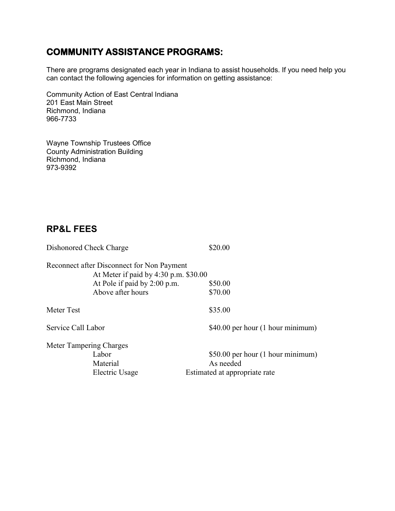#### **COMMUNITY ASSISTANCE PROGRAMS:**

There are programs designated each year in Indiana to assist households. If you need help you can contact the following agencies for information on getting assistance:

Community Action of East Central Indiana 201 East Main Street Richmond, Indiana 966-7733

Wayne Township Trustees Office County Administration Building Richmond, Indiana 973-9392

#### **RP&L FEES**

| Dishonored Check Charge                                                             | \$20.00                           |  |
|-------------------------------------------------------------------------------------|-----------------------------------|--|
| Reconnect after Disconnect for Non Payment<br>At Meter if paid by 4:30 p.m. \$30.00 |                                   |  |
| At Pole if paid by 2:00 p.m.                                                        | \$50.00                           |  |
| Above after hours                                                                   | \$70.00                           |  |
| Meter Test                                                                          | \$35.00                           |  |
| Service Call Labor                                                                  | \$40.00 per hour (1 hour minimum) |  |
| Meter Tampering Charges                                                             |                                   |  |
| Labor                                                                               | \$50.00 per hour (1 hour minimum) |  |
| Material                                                                            | As needed                         |  |
| Electric Usage                                                                      | Estimated at appropriate rate     |  |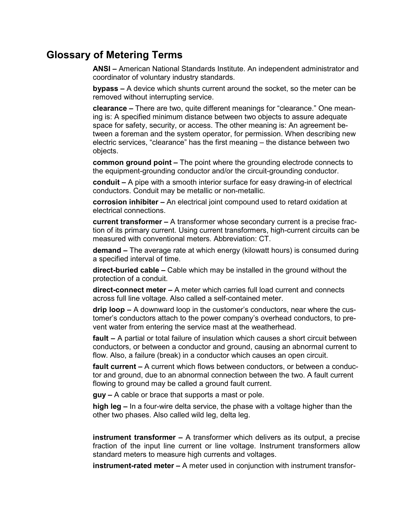#### **Glossary of Metering Terms**

**ANSI –** American National Standards Institute. An independent administrator and coordinator of voluntary industry standards.

**bypass –** A device which shunts current around the socket, so the meter can be removed without interrupting service.

**clearance –** There are two, quite different meanings for "clearance." One meaning is: A specified minimum distance between two objects to assure adequate space for safety, security, or access. The other meaning is: An agreement between a foreman and the system operator, for permission. When describing new electric services, "clearance" has the first meaning – the distance between two objects.

**common ground point –** The point where the grounding electrode connects to the equipment-grounding conductor and/or the circuit-grounding conductor.

**conduit –** A pipe with a smooth interior surface for easy drawing-in of electrical conductors. Conduit may be metallic or non-metallic.

**corrosion inhibiter –** An electrical joint compound used to retard oxidation at electrical connections.

**current transformer –** A transformer whose secondary current is a precise fraction of its primary current. Using current transformers, high-current circuits can be measured with conventional meters. Abbreviation: CT.

**demand –** The average rate at which energy (kilowatt hours) is consumed during a specified interval of time.

**direct-buried cable –** Cable which may be installed in the ground without the protection of a conduit.

**direct-connect meter –** A meter which carries full load current and connects across full line voltage. Also called a self-contained meter.

**drip loop –** A downward loop in the customer's conductors, near where the customer's conductors attach to the power company's overhead conductors, to prevent water from entering the service mast at the weatherhead.

**fault –** A partial or total failure of insulation which causes a short circuit between conductors, or between a conductor and ground, causing an abnormal current to flow. Also, a failure (break) in a conductor which causes an open circuit.

**fault current –** A current which flows between conductors, or between a conductor and ground, due to an abnormal connection between the two. A fault current flowing to ground may be called a ground fault current.

**guy –** A cable or brace that supports a mast or pole.

**high leg –** In a four-wire delta service, the phase with a voltage higher than the other two phases. Also called wild leg, delta leg.

**instrument transformer –** A transformer which delivers as its output, a precise fraction of the input line current or line voltage. Instrument transformers allow standard meters to measure high currents and voltages.

**instrument-rated meter –** A meter used in conjunction with instrument transfor-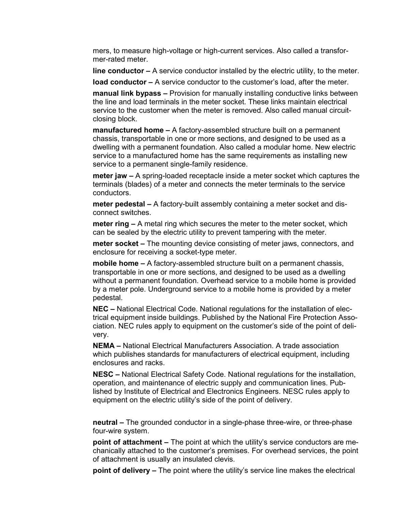mers, to measure high-voltage or high-current services. Also called a transformer-rated meter.

**line conductor –** A service conductor installed by the electric utility, to the meter.

**load conductor –** A service conductor to the customer's load, after the meter.

**manual link bypass –** Provision for manually installing conductive links between the line and load terminals in the meter socket. These links maintain electrical service to the customer when the meter is removed. Also called manual circuitclosing block.

**manufactured home –** A factory-assembled structure built on a permanent chassis, transportable in one or more sections, and designed to be used as a dwelling with a permanent foundation. Also called a modular home. New electric service to a manufactured home has the same requirements as installing new service to a permanent single-family residence.

**meter jaw –** A spring-loaded receptacle inside a meter socket which captures the terminals (blades) of a meter and connects the meter terminals to the service conductors.

**meter pedestal –** A factory-built assembly containing a meter socket and disconnect switches.

**meter ring –** A metal ring which secures the meter to the meter socket, which can be sealed by the electric utility to prevent tampering with the meter.

**meter socket –** The mounting device consisting of meter jaws, connectors, and enclosure for receiving a socket-type meter.

**mobile home –** A factory-assembled structure built on a permanent chassis, transportable in one or more sections, and designed to be used as a dwelling without a permanent foundation. Overhead service to a mobile home is provided by a meter pole. Underground service to a mobile home is provided by a meter pedestal.

**NEC –** National Electrical Code. National regulations for the installation of electrical equipment inside buildings. Published by the National Fire Protection Association. NEC rules apply to equipment on the customer's side of the point of delivery.

**NEMA –** National Electrical Manufacturers Association. A trade association which publishes standards for manufacturers of electrical equipment, including enclosures and racks.

**NESC –** National Electrical Safety Code. National regulations for the installation, operation, and maintenance of electric supply and communication lines. Published by Institute of Electrical and Electronics Engineers. NESC rules apply to equipment on the electric utility's side of the point of delivery.

**neutral –** The grounded conductor in a single-phase three-wire, or three-phase four-wire system.

**point of attachment –** The point at which the utility's service conductors are mechanically attached to the customer's premises. For overhead services, the point of attachment is usually an insulated clevis.

**point of delivery –** The point where the utility's service line makes the electrical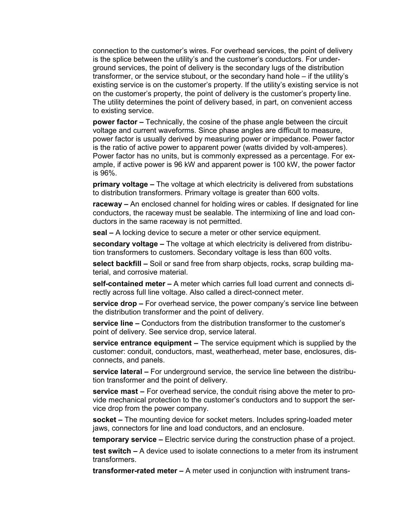connection to the customer's wires. For overhead services, the point of delivery is the splice between the utility's and the customer's conductors. For underground services, the point of delivery is the secondary lugs of the distribution transformer, or the service stubout, or the secondary hand hole – if the utility's existing service is on the customer's property. If the utility's existing service is not on the customer's property, the point of delivery is the customer's property line. The utility determines the point of delivery based, in part, on convenient access to existing service.

**power factor –** Technically, the cosine of the phase angle between the circuit voltage and current waveforms. Since phase angles are difficult to measure, power factor is usually derived by measuring power or impedance. Power factor is the ratio of active power to apparent power (watts divided by volt-amperes). Power factor has no units, but is commonly expressed as a percentage. For example, if active power is 96 kW and apparent power is 100 kW, the power factor is 96%.

**primary voltage –** The voltage at which electricity is delivered from substations to distribution transformers. Primary voltage is greater than 600 volts.

**raceway –** An enclosed channel for holding wires or cables. If designated for line conductors, the raceway must be sealable. The intermixing of line and load conductors in the same raceway is not permitted.

**seal –** A locking device to secure a meter or other service equipment.

**secondary voltage –** The voltage at which electricity is delivered from distribution transformers to customers. Secondary voltage is less than 600 volts.

**select backfill –** Soil or sand free from sharp objects, rocks, scrap building material, and corrosive material.

**self-contained meter –** A meter which carries full load current and connects directly across full line voltage. Also called a direct-connect meter.

**service drop –** For overhead service, the power company's service line between the distribution transformer and the point of delivery.

**service line –** Conductors from the distribution transformer to the customer's point of delivery. See service drop, service lateral.

**service entrance equipment –** The service equipment which is supplied by the customer: conduit, conductors, mast, weatherhead, meter base, enclosures, disconnects, and panels.

**service lateral –** For underground service, the service line between the distribution transformer and the point of delivery.

**service mast –** For overhead service, the conduit rising above the meter to provide mechanical protection to the customer's conductors and to support the service drop from the power company.

**socket –** The mounting device for socket meters. Includes spring-loaded meter jaws, connectors for line and load conductors, and an enclosure.

**temporary service –** Electric service during the construction phase of a project.

**test switch –** A device used to isolate connections to a meter from its instrument transformers.

**transformer-rated meter –** A meter used in conjunction with instrument trans-